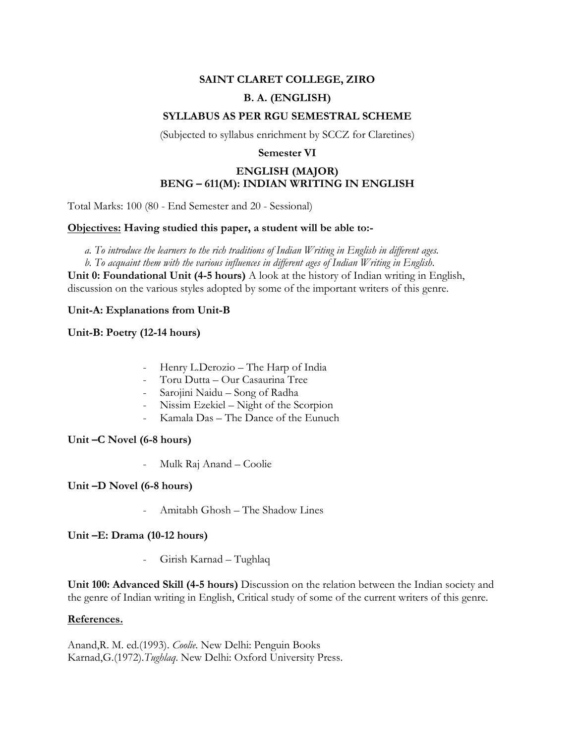# **SAINT CLARET COLLEGE, ZIRO B. A. (ENGLISH)**

# **SYLLABUS AS PER RGU SEMESTRAL SCHEME**

(Subjected to syllabus enrichment by SCCZ for Claretines)

#### **Semester VI**

# **ENGLISH (MAJOR) BENG – 611(M): INDIAN WRITING IN ENGLISH**

Total Marks: 100 (80 - End Semester and 20 - Sessional)

#### **Objectives: Having studied this paper, a student will be able to:-**

*a. To introduce the learners to the rich traditions of Indian Writing in English in different ages.*

*b. To acquaint them with the various influences in different ages of Indian Writing in English.*

**Unit 0: Foundational Unit (4-5 hours)** A look at the history of Indian writing in English, discussion on the various styles adopted by some of the important writers of this genre.

#### **Unit-A: Explanations from Unit-B**

#### **Unit-B: Poetry (12-14 hours)**

- Henry L.Derozio The Harp of India
- Toru Dutta Our Casaurina Tree
- Sarojini Naidu Song of Radha
- Nissim Ezekiel Night of the Scorpion
- Kamala Das The Dance of the Eunuch

#### **Unit –C Novel (6-8 hours)**

- Mulk Raj Anand – Coolie

## **Unit –D Novel (6-8 hours)**

- Amitabh Ghosh – The Shadow Lines

## **Unit –E: Drama (10-12 hours)**

- Girish Karnad – Tughlaq

**Unit 100: Advanced Skill (4-5 hours)** Discussion on the relation between the Indian society and the genre of Indian writing in English, Critical study of some of the current writers of this genre.

#### **References.**

Anand,R. M. ed.(1993). *Coolie*. New Delhi: Penguin Books Karnad,G.(1972).*Tughlaq*. New Delhi: Oxford University Press.